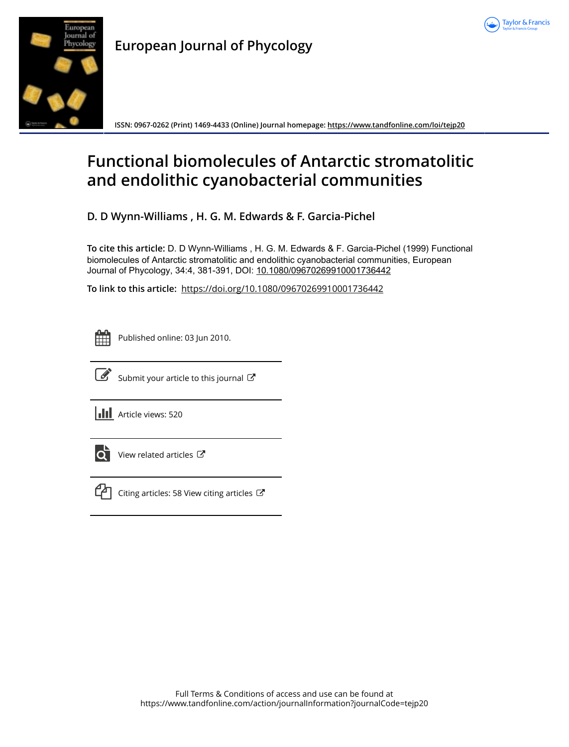



**European Journal of Phycology**

**ISSN: 0967-0262 (Print) 1469-4433 (Online) Journal homepage:<https://www.tandfonline.com/loi/tejp20>**

# **Functional biomolecules of Antarctic stromatolitic and endolithic cyanobacterial communities**

**D. D Wynn-Williams , H. G. M. Edwards & F. Garcia-Pichel**

**To cite this article:** D. D Wynn-Williams , H. G. M. Edwards & F. Garcia-Pichel (1999) Functional biomolecules of Antarctic stromatolitic and endolithic cyanobacterial communities, European Journal of Phycology, 34:4, 381-391, DOI: [10.1080/09670269910001736442](https://www.tandfonline.com/action/showCitFormats?doi=10.1080/09670269910001736442)

**To link to this article:** <https://doi.org/10.1080/09670269910001736442>

|  | -- |  |
|--|----|--|
|  |    |  |
|  |    |  |
|  |    |  |

Published online: 03 Jun 2010.



 $\overrightarrow{S}$  [Submit your article to this journal](https://www.tandfonline.com/action/authorSubmission?journalCode=tejp20&show=instructions)  $\overrightarrow{S}$ 

**III** Article views: 520



[View related articles](https://www.tandfonline.com/doi/mlt/10.1080/09670269910001736442) C



 $\Box$  [Citing articles: 58 View citing articles](https://www.tandfonline.com/doi/citedby/10.1080/09670269910001736442#tabModule)  $\Box$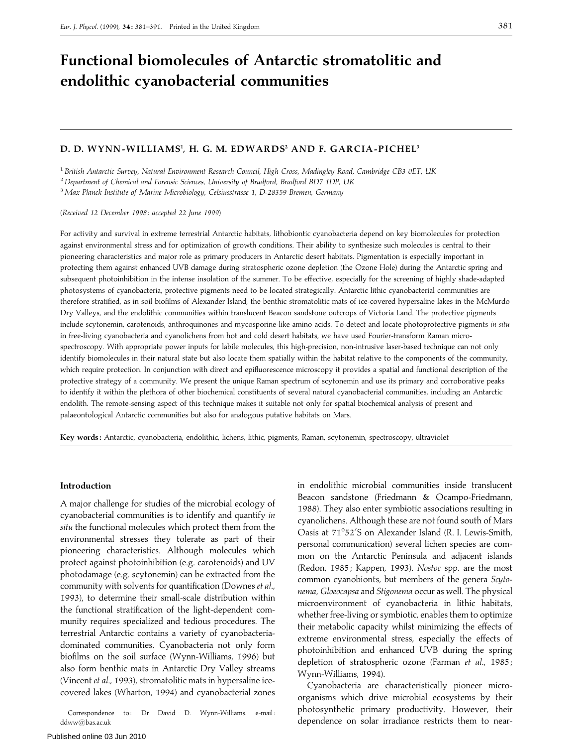## **Functional biomolecules of Antarctic stromatolitic and endolithic cyanobacterial communities**

## **D. D. WYNN -W ILL IAMS1 , H. G. M. EDWARDS2 AND F. GARC IA -P ICH EL3**

" *British Antarctic Survey*, *Natural Environment Research Council*, *High Cross*, *Madingley Road*, *Cambridge CB3 0ET*, *UK*

#*Department of Chemical and Forensic Sciences*, *University of Bradford*, *Bradford BD7 1DP, UK*

\$*Max Planck Institute of Marine Microbiology*, *Celsiusstrasse 1, D-28359 Bremen, Germany*

(*Received 12 December 1998 ; accepted 22 June 1999*)

For activity and survival in extreme terrestrial Antarctic habitats, lithobiontic cyanobacteria depend on key biomolecules for protection against environmental stress and for optimization of growth conditions. Their ability to synthesize such molecules is central to their pioneering characteristics and major role as primary producers in Antarctic desert habitats. Pigmentation is especially important in protecting them against enhanced UVB damage during stratospheric ozone depletion (the Ozone Hole) during the Antarctic spring and subsequent photoinhibition in the intense insolation of the summer. To be effective, especially for the screening of highly shade-adapted photosystems of cyanobacteria, protective pigments need to be located strategically. Antarctic lithic cyanobacterial communities are therefore stratified, as in soil biofilms of Alexander Island, the benthic stromatolitic mats of ice-covered hypersaline lakes in the McMurdo Dry Valleys, and the endolithic communities within translucent Beacon sandstone outcrops of Victoria Land. The protective pigments include scytonemin, carotenoids, anthroquinones and mycosporine-like amino acids. To detect and locate photoprotective pigments *in situ* in free-living cyanobacteria and cyanolichens from hot and cold desert habitats, we have used Fourier-transform Raman microspectroscopy. With appropriate power inputs for labile molecules, this high-precision, non-intrusive laser-based technique can not only identify biomolecules in their natural state but also locate them spatially within the habitat relative to the components of the community, which require protection. In conjunction with direct and epifluorescence microscopy it provides a spatial and functional description of the protective strategy of a community. We present the unique Raman spectrum of scytonemin and use its primary and corroborative peaks to identify it within the plethora of other biochemical constituents of several natural cyanobacterial communities, including an Antarctic endolith. The remote-sensing aspect of this technique makes it suitable not only for spatial biochemical analysis of present and palaeontological Antarctic communities but also for analogous putative habitats on Mars.

**Key words:** Antarctic, cyanobacteria, endolithic, lichens, lithic, pigments, Raman, scytonemin, spectroscopy, ultraviolet

#### **Introduction**

A major challenge for studies of the microbial ecology of cyanobacterial communities is to identify and quantify *in situ* the functional molecules which protect them from the environmental stresses they tolerate as part of their pioneering characteristics. Although molecules which protect against photoinhibition (e.g. carotenoids) and UV photodamage (e.g. scytonemin) can be extracted from the community with solvents for quantification (Downes *et al*., 1993), to determine their small-scale distribution within the functional stratification of the light-dependent community requires specialized and tedious procedures. The terrestrial Antarctic contains a variety of cyanobacteriadominated communities. Cyanobacteria not only form biofilms on the soil surface (Wynn-Williams, 1996) but also form benthic mats in Antarctic Dry Valley streams (Vincent *et al*., 1993), stromatolitic mats in hypersaline icecovered lakes (Wharton, 1994) and cyanobacterial zones

Correspondence to: Dr David D. Wynn-Williams. e-mail: ddww@bas.ac.uk

in endolithic microbial communities inside translucent Beacon sandstone (Friedmann & Ocampo-Friedmann, 1988). They also enter symbiotic associations resulting in cyanolichens. Although these are not found south of Mars Oasis at 71°52'S on Alexander Island (R. I. Lewis-Smith, personal communication) several lichen species are common on the Antarctic Peninsula and adjacent islands (Redon, 1985 ; Kappen, 1993). *Nostoc* spp. are the most common cyanobionts, but members of the genera *Scytonema*, *Gloeocapsa* and *Stigonema* occur as well. The physical microenvironment of cyanobacteria in lithic habitats, whether free-living or symbiotic, enables them to optimize their metabolic capacity whilst minimizing the effects of extreme environmental stress, especially the effects of photoinhibition and enhanced UVB during the spring depletion of stratospheric ozone (Farman *et al*., 1985 ; Wynn-Williams, 1994).

Cyanobacteria are characteristically pioneer microorganisms which drive microbial ecosystems by their photosynthetic primary productivity. However, their dependence on solar irradiance restricts them to near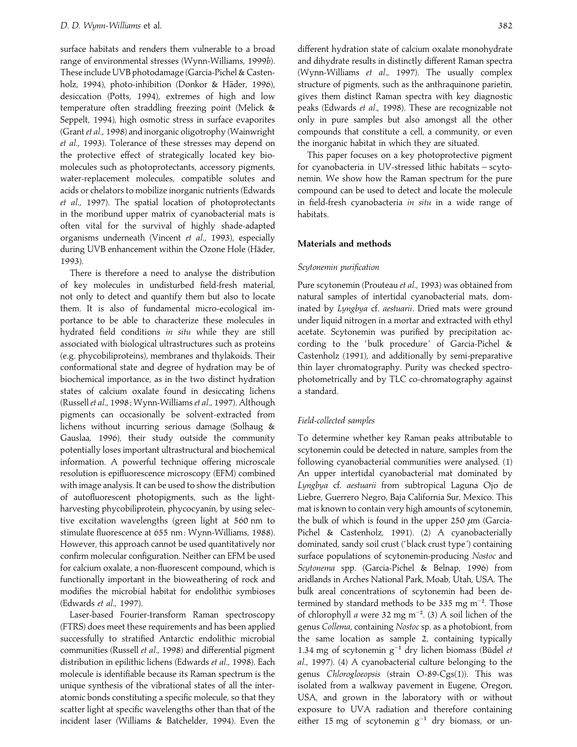surface habitats and renders them vulnerable to a broad range of environmental stresses (Wynn-Williams, 1999*b*). These include UVB photodamage (Garcia-Pichel & Castenholz, 1994), photo-inhibition (Donkor & Häder, 1996), desiccation (Potts, 1994), extremes of high and low temperature often straddling freezing point (Melick & Seppelt, 1994), high osmotic stress in surface evaporites (Grant *et al*., 1998) and inorganic oligotrophy (Wainwright *et al*., 1993). Tolerance of these stresses may depend on the protective effect of strategically located key biomolecules such as photoprotectants, accessory pigments, water-replacement molecules, compatible solutes and acids or chelators to mobilize inorganic nutrients (Edwards *et al*., 1997). The spatial location of photoprotectants in the moribund upper matrix of cyanobacterial mats is often vital for the survival of highly shade-adapted organisms underneath (Vincent *et al*., 1993), especially during UVB enhancement within the Ozone Hole (Häder, 1993).

There is therefore a need to analyse the distribution of key molecules in undisturbed field-fresh material, not only to detect and quantify them but also to locate them. It is also of fundamental micro-ecological importance to be able to characterize these molecules in hydrated field conditions *in situ* while they are still associated with biological ultrastructures such as proteins (e.g. phycobiliproteins), membranes and thylakoids. Their conformational state and degree of hydration may be of biochemical importance, as in the two distinct hydration states of calcium oxalate found in desiccating lichens (Russell *et al*., 1998 ; Wynn-Williams*et al*., 1997). Although pigments can occasionally be solvent-extracted from lichens without incurring serious damage (Solhaug & Gauslaa, 1996), their study outside the community potentially loses important ultrastructural and biochemical information. A powerful technique offering microscale resolution is epifluorescence microscopy (EFM) combined with image analysis. It can be used to show the distribution of autofluorescent photopigments, such as the lightharvesting phycobiliprotein, phycocyanin, by using selective excitation wavelengths (green light at 560 nm to stimulate fluorescence at 655 nm : Wynn-Williams, 1988). However, this approach cannot be used quantitatively nor confirm molecular configuration. Neither can EFM be used for calcium oxalate, a non-fluorescent compound, which is functionally important in the bioweathering of rock and modifies the microbial habitat for endolithic symbioses (Edwards *et al*., 1997).

Laser-based Fourier-transform Raman spectroscopy (FTRS) does meet these requirements and has been applied successfully to stratified Antarctic endolithic microbial communities (Russell *et al*., 1998) and differential pigment distribution in epilithic lichens (Edwards *et al*., 1998). Each molecule is identifiable because its Raman spectrum is the unique synthesis of the vibrational states of all the interatomic bonds constituting a specific molecule, so that they scatter light at specific wavelengths other than that of the incident laser (Williams & Batchelder, 1994). Even the different hydration state of calcium oxalate monohydrate and dihydrate results in distinctly different Raman spectra (Wynn-Williams *et al*., 1997). The usually complex structure of pigments, such as the anthraquinone parietin, gives them distinct Raman spectra with key diagnostic peaks (Edwards *et al*., 1998). These are recognizable not only in pure samples but also amongst all the other compounds that constitute a cell, a community, or even the inorganic habitat in which they are situated.

This paper focuses on a key photoprotective pigment for cyanobacteria in UV-stressed lithic habitats – scytonemin. We show how the Raman spectrum for the pure compound can be used to detect and locate the molecule in field-fresh cyanobacteria *in situ* in a wide range of habitats.

### **Materials and methods**

#### *Scytonemin purification*

Pure scytonemin (Prouteau *et al*., 1993) was obtained from natural samples of intertidal cyanobacterial mats, dominated by *Lyngbya* cf. *aestuarii*. Dried mats were ground under liquid nitrogen in a mortar and extracted with ethyl acetate. Scytonemin was purified by precipitation according to the 'bulk procedure' of Garcia-Pichel & Castenholz (1991), and additionally by semi-preparative thin layer chromatography. Purity was checked spectrophotometrically and by TLC co-chromatography against a standard.

#### *Field*-*collected samples*

To determine whether key Raman peaks attributable to scytonemin could be detected in nature, samples from the following cyanobacterial communities were analysed. (1) An upper intertidal cyanobacterial mat dominated by *Lyngbya* cf. *aestuarii* from subtropical Laguna Ojo de Liebre, Guerrero Negro, Baja California Sur, Mexico. This mat is known to contain very high amounts of scytonemin, the bulk of which is found in the upper 250  $\mu$ m (Garcia-Pichel & Castenholz, 1991). (2) A cyanobacterially dominated, sandy soil crust ('black crust type ') containing surface populations of scytonemin-producing *Nostoc* and *Scytonema* spp. (Garcia-Pichel & Belnap, 1996) from aridlands in Arches National Park, Moab, Utah, USA. The bulk areal concentrations of scytonemin had been determined by standard methods to be 335 mg m<sup>-2</sup>. Those of chlorophyll *a* were 32 mg m<sup>-2</sup>. (3) A soil lichen of the genus *Collema*, containing *Nostoc* sp. as a photobiont, from the same location as sample 2, containing typically 1.34 mg of scytonemin g<sup>-1</sup> dry lichen biomass (Büdel et *al*., 1997). (4) A cyanobacterial culture belonging to the genus *Chlorogloeopsis* (strain O-89-Cgs(1)). This was isolated from a walkway pavement in Eugene, Oregon, USA, and grown in the laboratory with or without exposure to UVA radiation and therefore containing either 15 mg of scytonemin  $g^{-1}$  dry biomass, or un-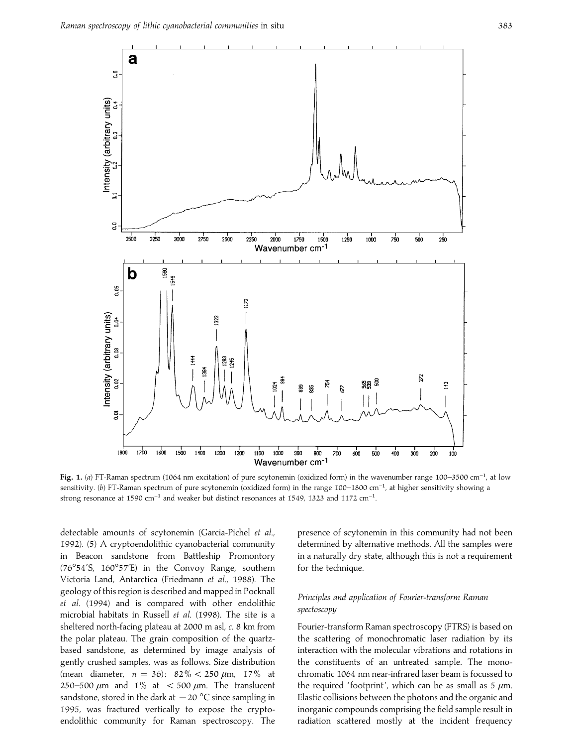

**Fig. 1.** (*a*) FT-Raman spectrum (1064 nm excitation) of pure scytonemin (oxidized form) in the wavenumber range 100–3500 cm−", at low sensitivity. (*b*) FT-Raman spectrum of pure scytonemin (oxidized form) in the range 100–1800 cm<sup>-1</sup>, at higher sensitivity showing a strong resonance at 1590 cm<sup>-1</sup> and weaker but distinct resonances at 1549, 1323 and 1172 cm<sup>-1</sup>.

detectable amounts of scytonemin (Garcia-Pichel *et al*., 1992). (5) A cryptoendolithic cyanobacterial community in Beacon sandstone from Battleship Promontory ( $76^{\circ}54^{\prime}$ S, 160° $57^{\prime}$ E) in the Convoy Range, southern Victoria Land, Antarctica (Friedmann *et al*., 1988). The geology of this region is described and mapped in Pocknall *et al*. (1994) and is compared with other endolithic microbial habitats in Russell *et al*. (1998). The site is a sheltered north-facing plateau at 2000 m asl, *c*. 8 km from the polar plateau. The grain composition of the quartzbased sandstone, as determined by image analysis of gently crushed samples, was as follows. Size distribution (mean diameter,  $n = 36$ ):  $82\% < 250 \ \mu \text{m}$ , 17% at 250–500  $\mu$ m and 1% at < 500  $\mu$ m. The translucent sandstone, stored in the dark at  $-20$  °C since sampling in 1995, was fractured vertically to expose the cryptoendolithic community for Raman spectroscopy. The

presence of scytonemin in this community had not been determined by alternative methods. All the samples were in a naturally dry state, although this is not a requirement for the technique.

## *Principles and application of Fourier*-*transform Raman spectoscopy*

Fourier-transform Raman spectroscopy (FTRS) is based on the scattering of monochromatic laser radiation by its interaction with the molecular vibrations and rotations in the constituents of an untreated sample. The monochromatic 1064 nm near-infrared laser beam is focussed to the required 'footprint', which can be as small as  $5 \mu m$ . Elastic collisions between the photons and the organic and inorganic compounds comprising the field sample result in radiation scattered mostly at the incident frequency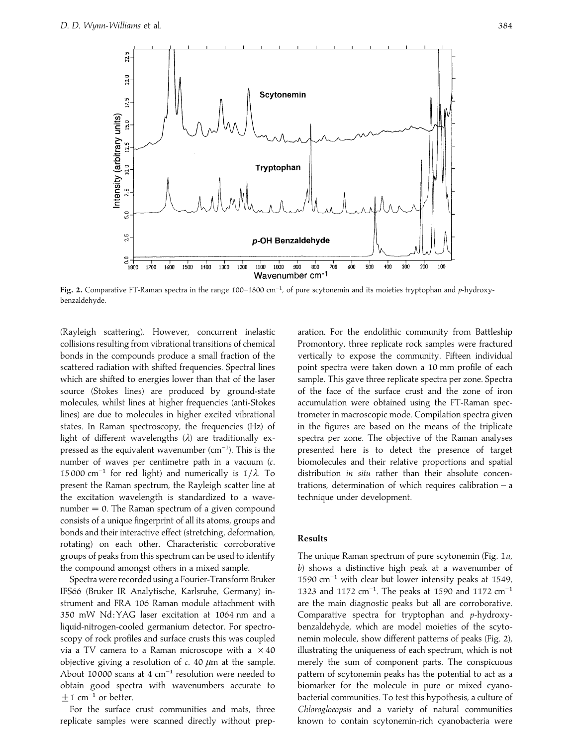

benzaldehyde.

(Rayleigh scattering). However, concurrent inelastic collisions resulting from vibrational transitions of chemical bonds in the compounds produce a small fraction of the scattered radiation with shifted frequencies. Spectral lines which are shifted to energies lower than that of the laser source (Stokes lines) are produced by ground-state molecules, whilst lines at higher frequencies (anti-Stokes lines) are due to molecules in higher excited vibrational states. In Raman spectroscopy, the frequencies (Hz) of light of different wavelengths  $(\lambda)$  are traditionally expressed as the equivalent wavenumber  $(cm<sup>-1</sup>)$ . This is the number of waves per centimetre path in a vacuum (*c*. 15000 cm<sup>-1</sup> for red light) and numerically is  $1/\lambda$ . To present the Raman spectrum, the Rayleigh scatter line at the excitation wavelength is standardized to a wavenumber  $= 0$ . The Raman spectrum of a given compound consists of a unique fingerprint of all its atoms, groups and bonds and their interactive effect (stretching, deformation, rotating) on each other. Characteristic corroborative groups of peaks from this spectrum can be used to identify the compound amongst others in a mixed sample.

Spectra were recorded using a Fourier-Transform Bruker IFS66 (Bruker IR Analytische, Karlsruhe, Germany) instrument and FRA 106 Raman module attachment with 350 mW Nd:YAG laser excitation at 1064 nm and a liquid-nitrogen-cooled germanium detector. For spectroscopy of rock profiles and surface crusts this was coupled via a TV camera to a Raman microscope with a  $\times$  40 objective giving a resolution of  $c$ . 40  $\mu$ m at the sample. About 10000 scans at 4 cm<sup>-1</sup> resolution were needed to obtain good spectra with wavenumbers accurate to  $±1$  cm<sup>-1</sup> or better.

For the surface crust communities and mats, three replicate samples were scanned directly without preparation. For the endolithic community from Battleship Promontory, three replicate rock samples were fractured vertically to expose the community. Fifteen individual point spectra were taken down a 10 mm profile of each sample. This gave three replicate spectra per zone. Spectra of the face of the surface crust and the zone of iron accumulation were obtained using the FT-Raman spectrometer in macroscopic mode. Compilation spectra given in the figures are based on the means of the triplicate spectra per zone. The objective of the Raman analyses presented here is to detect the presence of target biomolecules and their relative proportions and spatial distribution *in situ* rather than their absolute concentrations, determination of which requires calibration – a technique under development.

## **Results**

The unique Raman spectrum of pure scytonemin (Fig. 1*a*, *b*) shows a distinctive high peak at a wavenumber of 1590 cm−" with clear but lower intensity peaks at 1549, 1323 and 1172 cm<sup>-1</sup>. The peaks at 1590 and 1172 cm<sup>-1</sup> are the main diagnostic peaks but all are corroborative. Comparative spectra for tryptophan and *p*-hydroxybenzaldehyde, which are model moieties of the scytonemin molecule, show different patterns of peaks (Fig. 2), illustrating the uniqueness of each spectrum, which is not merely the sum of component parts. The conspicuous pattern of scytonemin peaks has the potential to act as a biomarker for the molecule in pure or mixed cyanobacterial communities. To test this hypothesis, a culture of *Chlorogloeopsis* and a variety of natural communities known to contain scytonemin-rich cyanobacteria were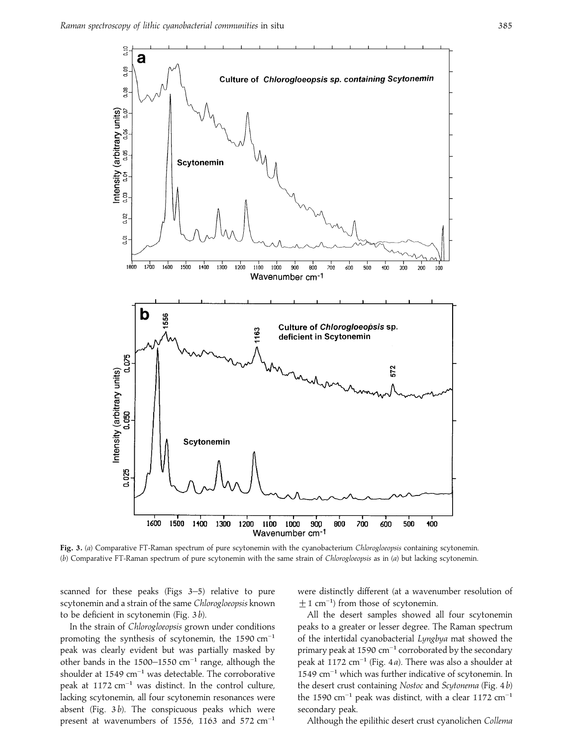

**Fig. 3.** (*a*) Comparative FT-Raman spectrum of pure scytonemin with the cyanobacterium *Chlorogloeopsis* containing scytonemin. (*b*) Comparative FT-Raman spectrum of pure scytonemin with the same strain of *Chlorogloeopsis* as in (*a*) but lacking scytonemin.

scanned for these peaks (Figs 3–5) relative to pure scytonemin and a strain of the same *Chlorogloeopsis* known to be deficient in scytonemin (Fig. 3*b*).

In the strain of *Chlorogloeopsis* grown under conditions promoting the synthesis of scytonemin, the  $1590 \text{ cm}^{-1}$ peak was clearly evident but was partially masked by other bands in the 1500–1550  $cm^{-1}$  range, although the shoulder at 1549 cm−" was detectable. The corroborative peak at 1172 cm<sup>-1</sup> was distinct. In the control culture, lacking scytonemin, all four scytonemin resonances were absent (Fig. 3*b*). The conspicuous peaks which were present at wavenumbers of 1556, 1163 and 572  $cm^{-1}$ 

were distinctly different (at a wavenumber resolution of  $+1$  cm<sup>-1</sup>) from those of scytonemin.

All the desert samples showed all four scytonemin peaks to a greater or lesser degree. The Raman spectrum of the intertidal cyanobacterial *Lyngbya* mat showed the primary peak at 1590 cm<sup>-1</sup> corroborated by the secondary peak at 1172 cm−" (Fig. 4*a*). There was also a shoulder at 1549 cm−" which was further indicative of scytonemin. In the desert crust containing *Nostoc* and *Scytonema* (Fig. 4*b*) the 1590 cm<sup>-1</sup> peak was distinct, with a clear 1172 cm<sup>-1</sup> secondary peak.

Although the epilithic desert crust cyanolichen *Collema*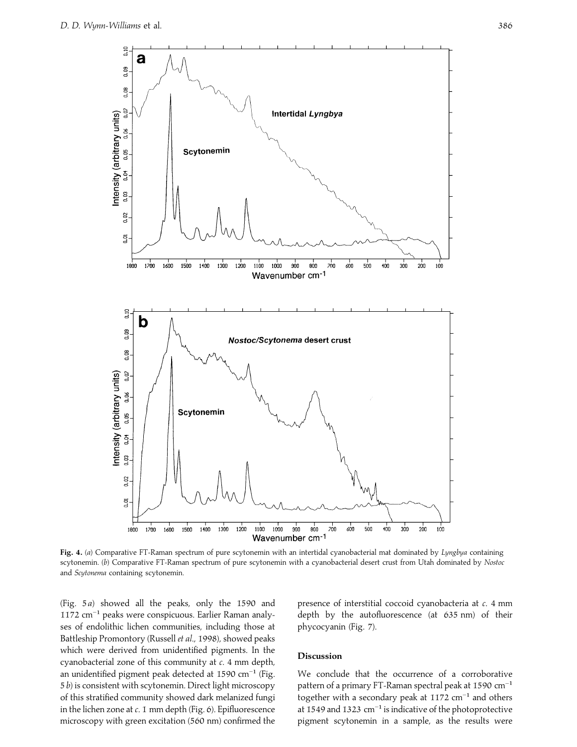

**Fig. 4.** (*a*) Comparative FT-Raman spectrum of pure scytonemin with an intertidal cyanobacterial mat dominated by *Lyngbya* containing scytonemin. (*b*) Comparative FT-Raman spectrum of pure scytonemin with a cyanobacterial desert crust from Utah dominated by *Nostoc* and *Scytonema* containing scytonemin.

(Fig. 5*a*) showed all the peaks, only the 1590 and 1172 cm−" peaks were conspicuous. Earlier Raman analyses of endolithic lichen communities, including those at Battleship Promontory (Russell *et al*., 1998), showed peaks which were derived from unidentified pigments. In the cyanobacterial zone of this community at *c*. 4 mm depth, an unidentified pigment peak detected at 1590 cm<sup>-1</sup> (Fig. 5*b*) is consistent with scytonemin. Direct light microscopy of this stratified community showed dark melanized fungi in the lichen zone at *c*. 1 mm depth (Fig. 6). Epifluorescence microscopy with green excitation (560 nm) confirmed the

presence of interstitial coccoid cyanobacteria at *c*. 4 mm depth by the autofluorescence (at 635 nm) of their phycocyanin (Fig. 7).

#### **Discussion**

We conclude that the occurrence of a corroborative pattern of a primary FT-Raman spectral peak at 1590 cm<sup>-1</sup> together with a secondary peak at  $1172 \text{ cm}^{-1}$  and others at 1549 and 1323  $cm^{-1}$  is indicative of the photoprotective pigment scytonemin in a sample, as the results were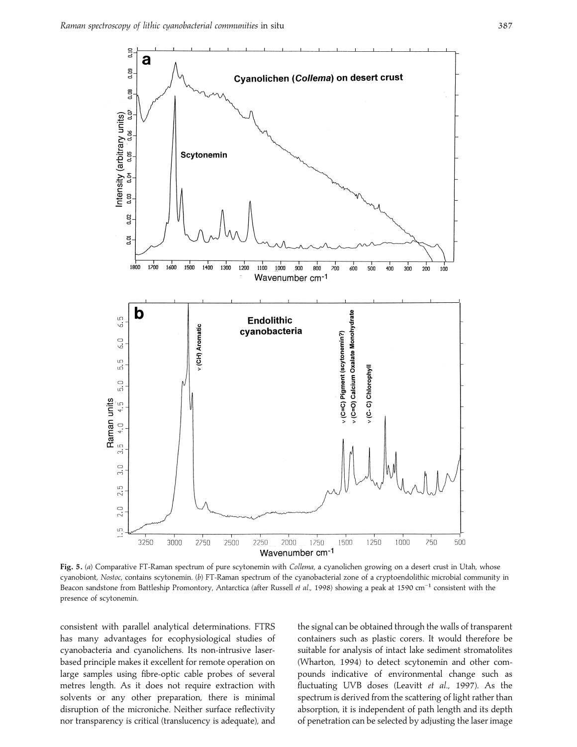

**Fig. 5.** (*a*) Comparative FT-Raman spectrum of pure scytonemin with *Collema*, a cyanolichen growing on a desert crust in Utah, whose cyanobiont, *Nostoc*, contains scytonemin. (*b*) FT-Raman spectrum of the cyanobacterial zone of a cryptoendolithic microbial community in Beacon sandstone from Battleship Promontory, Antarctica (after Russell *et al*., 1998) showing a peak at 1590 cm−" consistent with the presence of scytonemin.

consistent with parallel analytical determinations. FTRS has many advantages for ecophysiological studies of cyanobacteria and cyanolichens. Its non-intrusive laserbased principle makes it excellent for remote operation on large samples using fibre-optic cable probes of several metres length. As it does not require extraction with solvents or any other preparation, there is minimal disruption of the microniche. Neither surface reflectivity nor transparency is critical (translucency is adequate), and the signal can be obtained through the walls of transparent containers such as plastic corers. It would therefore be suitable for analysis of intact lake sediment stromatolites (Wharton, 1994) to detect scytonemin and other compounds indicative of environmental change such as fluctuating UVB doses (Leavitt *et al*., 1997). As the spectrum is derived from the scattering of light rather than absorption, it is independent of path length and its depth of penetration can be selected by adjusting the laser image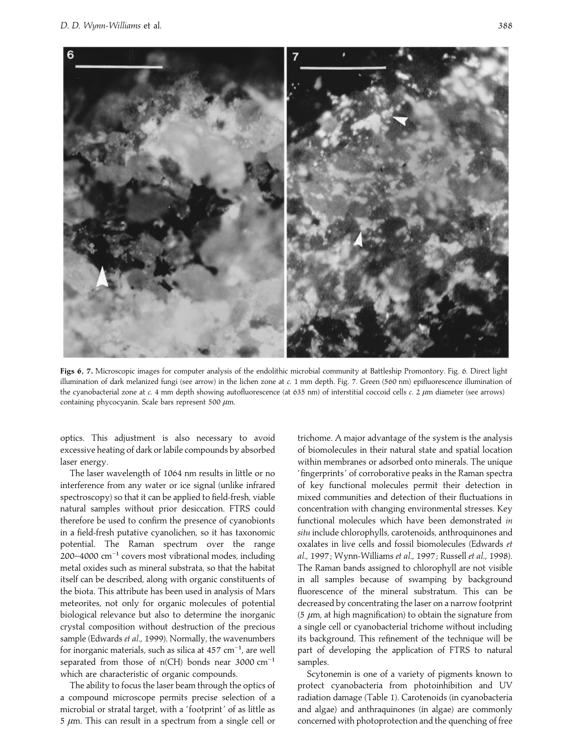

**Figs 6, 7.** Microscopic images for computer analysis of the endolithic microbial community at Battleship Promontory. Fig. 6. Direct light illumination of dark melanized fungi (see arrow) in the lichen zone at *c*. 1 mm depth. Fig. 7. Green (560 nm) epifluorescence illumination of the cyanobacterial zone at *c*. 4 mm depth showing autofluorescence (at 635 nm) of interstitial coccoid cells *c*. 2 µm diameter (see arrows) containing phycocyanin. Scale bars represent 500  $\mu$ m.

optics. This adjustment is also necessary to avoid excessive heating of dark or labile compounds by absorbed laser energy.

The laser wavelength of 1064 nm results in little or no interference from any water or ice signal (unlike infrared spectroscopy) so that it can be applied to field-fresh, viable natural samples without prior desiccation. FTRS could therefore be used to confirm the presence of cyanobionts in a field-fresh putative cyanolichen, so it has taxonomic potential. The Raman spectrum over the range 200–4000 cm−" covers most vibrational modes, including metal oxides such as mineral substrata, so that the habitat itself can be described, along with organic constituents of the biota. This attribute has been used in analysis of Mars meteorites, not only for organic molecules of potential biological relevance but also to determine the inorganic crystal composition without destruction of the precious sample (Edwards *et al*., 1999). Normally, the wavenumbers for inorganic materials, such as silica at 457 cm−", are well separated from those of n(CH) bonds near 3000  $cm^{-1}$ which are characteristic of organic compounds.

The ability to focus the laser beam through the optics of a compound microscope permits precise selection of a microbial or stratal target, with a 'footprint' of as little as  $5 \mu$ m. This can result in a spectrum from a single cell or

trichome. A major advantage of the system is the analysis of biomolecules in their natural state and spatial location within membranes or adsorbed onto minerals. The unique 'fingerprints ' of corroborative peaks in the Raman spectra of key functional molecules permit their detection in mixed communities and detection of their fluctuations in concentration with changing environmental stresses. Key functional molecules which have been demonstrated *in situ* include chlorophylls, carotenoids, anthroquinones and oxalates in live cells and fossil biomolecules (Edwards *et al*., 1997 ; Wynn-Williams *et al*., 1997 ; Russell *et al*., 1998). The Raman bands assigned to chlorophyll are not visible in all samples because of swamping by background fluorescence of the mineral substratum. This can be decreased by concentrating the laser on a narrow footprint (5  $\mu$ m, at high magnification) to obtain the signature from a single cell or cyanobacterial trichome without including its background. This refinement of the technique will be part of developing the application of FTRS to natural samples.

Scytonemin is one of a variety of pigments known to protect cyanobacteria from photoinhibition and UV radiation damage (Table 1). Carotenoids (in cyanobacteria and algae) and anthraquinones (in algae) are commonly concerned with photoprotection and the quenching of free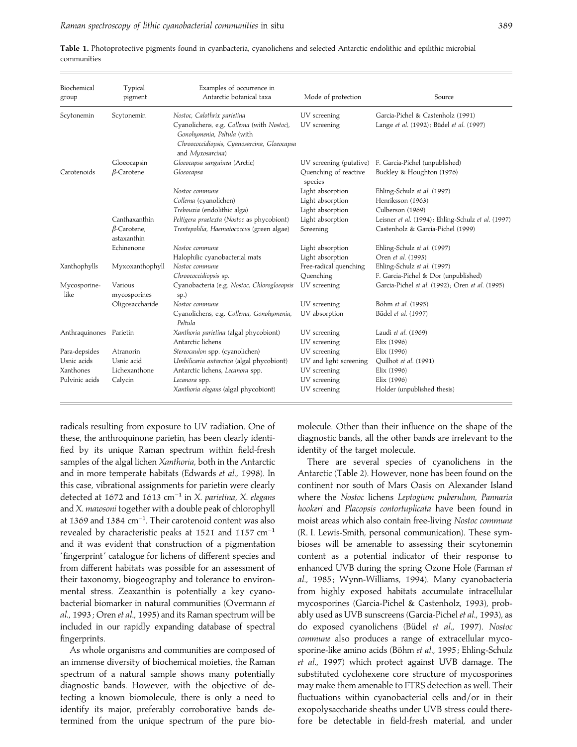**Table 1.** Photoprotective pigments found in cyanbacteria, cyanolichens and selected Antarctic endolithic and epilithic microbial communities

| Biochemical<br>group    | Typical<br>pigment                | Examples of occurrence in<br>Antarctic botanical taxa                                                                                                                     | Mode of protection               | Source                                                                        |
|-------------------------|-----------------------------------|---------------------------------------------------------------------------------------------------------------------------------------------------------------------------|----------------------------------|-------------------------------------------------------------------------------|
| Scytonemin              | Scytonemin                        | Nostoc, Calothrix parietina<br>Cyanolichens, e.g. Collema (with Nostoc),<br>Gonohymenia, Peltula (with<br>Chroococcidiopsis, Cyanosarcina, Gloeocapsa<br>and Myxosarcina) | UV screening<br>UV screening     | Garcia-Pichel & Castenholz (1991)<br>Lange et al. (1992); Büdel et al. (1997) |
|                         | Gloeocapsin                       | Gloeocapsa sanguinea (Arctic)                                                                                                                                             | UV screening (putative)          | F. Garcia-Pichel (unpublished)                                                |
| Carotenoids             | $\beta$ -Carotene                 | Gloeocapsa                                                                                                                                                                | Quenching of reactive<br>species | Buckley & Houghton (1976)                                                     |
|                         |                                   | Nostoc commune                                                                                                                                                            | Light absorption                 | Ehling-Schulz et al. (1997)                                                   |
|                         |                                   | Collema (cyanolichen)                                                                                                                                                     | Light absorption                 | Henriksson (1963)                                                             |
|                         |                                   | Trebouxia (endolithic alga)                                                                                                                                               | Light absorption                 | Culberson (1969)                                                              |
|                         | Canthaxanthin                     | Peltigera praetexta (Nostoc as phycobiont)                                                                                                                                | Light absorption                 | Leisner et al. (1994); Ehling-Schulz et al. (1997)                            |
|                         | $\beta$ -Carotene,<br>astaxanthin | Trentepohlia, Haematococcus (green algae)                                                                                                                                 | Screening                        | Castenholz & Garcia-Pichel (1999)                                             |
|                         | Echinenone                        | Nostoc commune                                                                                                                                                            | Light absorption                 | Ehling-Schulz et al. (1997)                                                   |
|                         |                                   | Halophilic cyanobacterial mats                                                                                                                                            | Light absorption                 | Oren et al. (1995)                                                            |
| Xanthophylls            | Myxoxanthophyll                   | Nostoc commune                                                                                                                                                            | Free-radical quenching           | Ehling-Schulz et al. (1997)                                                   |
|                         |                                   | Chroococcidiopsis sp.                                                                                                                                                     | Quenching                        | F. Garcia-Pichel & Dor (unpublished)                                          |
| Mycosporine-<br>like    | Various<br>mycosporines           | Cyanobacteria (e.g. Nostoc, Chlorogloeopsis<br>sp.)                                                                                                                       | UV screening                     | Garcia-Pichel et al. (1992); Oren et al. (1995)                               |
|                         | Oligosaccharide                   | Nostoc commune                                                                                                                                                            | UV screening                     | Böhm et al. (1995)                                                            |
|                         |                                   | Cyanolichens, e.g. Collema, Gonohymenia,<br>Peltula                                                                                                                       | UV absorption                    | Büdel et al. (1997)                                                           |
| Anthraquinones Parietin |                                   | Xanthoria parietina (algal phycobiont)                                                                                                                                    | UV screening                     | Laudi et al. (1969)                                                           |
|                         |                                   | Antarctic lichens                                                                                                                                                         | UV screening                     | Elix (1996)                                                                   |
| Para-depsides           | Atranorin                         | Stereocaulon spp. (cyanolichen)                                                                                                                                           | UV screening                     | Elix (1996)                                                                   |
| Usnic acids             | Usnic acid                        | Umbilicaria antarctica (algal phycobiont)                                                                                                                                 | UV and light screening           | Quilhot et al. (1991)                                                         |
| Xanthones               | Lichexanthone                     | Antarctic lichens, Lecanora spp.                                                                                                                                          | UV screening                     | Elix (1996)                                                                   |
| Pulvinic acids          | Calycin                           | Lecanora spp.                                                                                                                                                             | UV screening                     | Elix (1996)                                                                   |
|                         |                                   | Xanthoria elegans (algal phycobiont)                                                                                                                                      | UV screening                     | Holder (unpublished thesis)                                                   |

radicals resulting from exposure to UV radiation. One of these, the anthroquinone parietin, has been clearly identified by its unique Raman spectrum within field-fresh samples of the algal lichen *Xanthoria*, both in the Antarctic and in more temperate habitats (Edwards *et al*., 1998). In this case, vibrational assignments for parietin were clearly detected at 1672 and 1613 cm−" in *<sup>X</sup>*. *parietina*, *<sup>X</sup>*. *elegans* and *X*. *mawsoni* together with a double peak of chlorophyll at 1369 and 1384 cm−". Their carotenoid content was also revealed by characteristic peaks at 1521 and 1157 cm<sup>-1</sup> and it was evident that construction of a pigmentation 'fingerprint' catalogue for lichens of different species and from different habitats was possible for an assessment of their taxonomy, biogeography and tolerance to environmental stress. Zeaxanthin is potentially a key cyanobacterial biomarker in natural communities (Overmann *et al*., 1993 ; Oren *et al*., 1995) and its Raman spectrum will be included in our rapidly expanding database of spectral fingerprints.

As whole organisms and communities are composed of an immense diversity of biochemical moieties, the Raman spectrum of a natural sample shows many potentially diagnostic bands. However, with the objective of detecting a known biomolecule, there is only a need to identify its major, preferably corroborative bands determined from the unique spectrum of the pure biomolecule. Other than their influence on the shape of the diagnostic bands, all the other bands are irrelevant to the identity of the target molecule.

There are several species of cyanolichens in the Antarctic (Table 2). However, none has been found on the continent nor south of Mars Oasis on Alexander Island where the *Nostoc* lichens *Leptogium puberulum*, *Pannaria hookeri* and *Placopsis contortuplicata* have been found in moist areas which also contain free-living *Nostoc commune* (R. I. Lewis-Smith, personal communication). These symbioses will be amenable to assessing their scytonemin content as a potential indicator of their response to enhanced UVB during the spring Ozone Hole (Farman *et al*., 1985 ; Wynn-Williams, 1994). Many cyanobacteria from highly exposed habitats accumulate intracellular mycosporines (Garcia-Pichel & Castenholz, 1993), probably used as UVB sunscreens (Garcia-Pichel *et al*., 1993), as do exposed cyanolichens (Bu\$del *et al*., 1997). *Nostoc commune* also produces a range of extracellular mycosporine-like amino acids (Böhm et al., 1995; Ehling-Schulz *et al*., 1997) which protect against UVB damage. The substituted cyclohexene core structure of mycosporines may make them amenable to FTRS detection as well. Their fluctuations within cyanobacterial cells and/or in their exopolysaccharide sheaths under UVB stress could therefore be detectable in field-fresh material, and under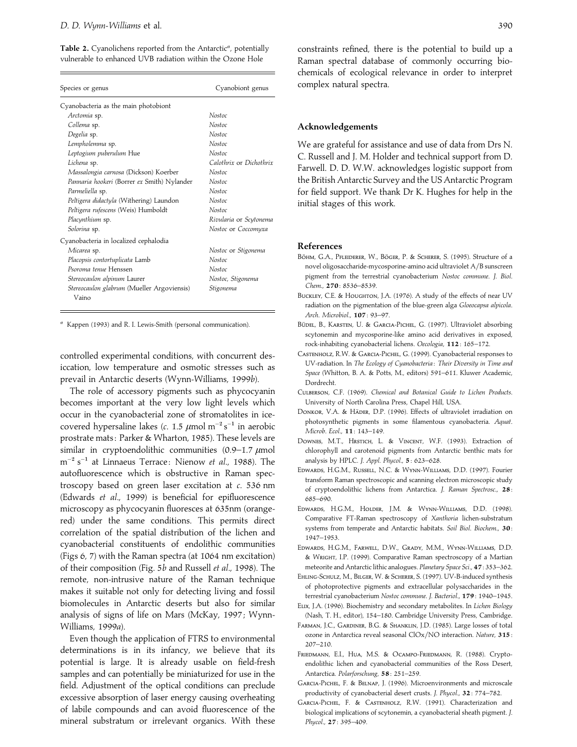Table 2. Cyanolichens reported from the Antarctic<sup>a</sup>, potentially vulnerable to enhanced UVB radiation within the Ozone Hole

| Species or genus                                    | Cyanobiont genus        |  |
|-----------------------------------------------------|-------------------------|--|
| Cyanobacteria as the main photobiont                |                         |  |
| Arctomia sp.                                        | Nostoc                  |  |
| Collema sp.                                         | <b>Nostoc</b>           |  |
| Degelia sp.                                         | <b>Nostoc</b>           |  |
| Lempholemma sp.                                     | <b>Nostoc</b>           |  |
| Leptogium puberulum Hue                             | <b>Nostoc</b>           |  |
| Lichena sp.                                         | Calothrix or Dichothrix |  |
| Massalongia carnosa (Dickson) Koerber               | Nostoc                  |  |
| Pannaria hookeri (Borrer ex Smith) Nylander         | <b>Nostoc</b>           |  |
| Parmeliella sp.                                     | Nostoc                  |  |
| Peltigera didactyla (Withering) Laundon             | Nostoc                  |  |
| Peltigera rufescens (Weis) Humboldt                 | Nostoc                  |  |
| Placynthium sp.                                     | Rivularia or Scytonema  |  |
| Solorina sp.                                        | Nostoc or Coccomyxa     |  |
| Cyanobacteria in localized cephalodia               |                         |  |
| Micarea sp.                                         | Nostoc or Stigonema     |  |
| Placopsis contortuplicata Lamb                      | <b>Nostoc</b>           |  |
| Psoroma tenue Henssen                               | Nostoc                  |  |
| Stereocaulon alpinum Laurer                         | Nostoc, Stigonema       |  |
| Stereocaulon glabrum (Mueller Argoviensis)<br>Vaino | Stigonema               |  |

*a* Kappen (1993) and R. I. Lewis-Smith (personal communication).

controlled experimental conditions, with concurrent desiccation, low temperature and osmotic stresses such as prevail in Antarctic deserts (Wynn-Williams, 1999*b*).

The role of accessory pigments such as phycocyanin becomes important at the very low light levels which occur in the cyanobacterial zone of stromatolites in icecovered hypersaline lakes (*c*. 1.5 μmol m<sup>-2</sup> s<sup>-1</sup> in aerobic prostrate mats : Parker & Wharton, 1985). These levels are similar in cryptoendolithic communities  $(0.9-1.7 \mu mol)$ <sup>m</sup>−# <sup>s</sup>−" at Linnaeus Terrace : Nienow *et al*., 1988). The autofluorescence which is obstructive in Raman spectroscopy based on green laser excitation at *c*. 536 nm (Edwards *et al*., 1999) is beneficial for epifluorescence microscopy as phycocyanin fluoresces at 635nm (orangered) under the same conditions. This permits direct correlation of the spatial distribution of the lichen and cyanobacterial constituents of endolithic communities (Figs 6, 7) with the Raman spectra (at 1064 nm excitation) of their composition (Fig. 5*b* and Russell *et al*., 1998). The remote, non-intrusive nature of the Raman technique makes it suitable not only for detecting living and fossil biomolecules in Antarctic deserts but also for similar analysis of signs of life on Mars (McKay, 1997; Wynn-Williams, 1999*a*).

Even though the application of FTRS to environmental determinations is in its infancy, we believe that its potential is large. It is already usable on field-fresh samples and can potentially be miniaturized for use in the field. Adjustment of the optical conditions can preclude excessive absorption of laser energy causing overheating of labile compounds and can avoid fluorescence of the mineral substratum or irrelevant organics. With these constraints refined, there is the potential to build up a Raman spectral database of commonly occurring biochemicals of ecological relevance in order to interpret complex natural spectra.

#### **Acknowledgements**

We are grateful for assistance and use of data from Drs N. C. Russell and J. M. Holder and technical support from D. Farwell. D. D. W.W. acknowledges logistic support from the British Antarctic Survey and the US Antarctic Program for field support. We thank Dr K. Hughes for help in the initial stages of this work.

#### **References**

- BÖHM, G.A., PFLEIDERER, W., BÖGER, P. & SCHERER, S. (1995). Structure of a novel oligosaccharide-mycosporine-amino acid ultraviolet A/B sunscreen pigment from the terrestrial cyanobacterium *Nostoc commune*. *J*. *Biol*. *Chem*., **270**: 8536–8539.
- BUCKLEY, C.E. & HOUGHTON, J.A. (1976). A study of the effects of near UV radiation on the pigmentation of the blue-green alga *Gloeocapsa alpicola*. *Arch*. *Microbiol*., **107**: 93–97.
- BÜDEL, B., KARSTEN, U. & GARCIA-PICHEL, G. (1997). Ultraviolet absorbing scytonemin and mycosporine-like amino acid derivatives in exposed, rock-inhabiting cyanobacterial lichens. *Oecologia*, **112**: 165–172.
- CASTENHOLZ, R.W. & GARCIA-PICHEL, G. (1999). Cyanobacterial responses to UV-radiation. In *The Ecology of Cyanobacteria* : *Their Diversity in Time and Space* (Whitton, B. A. & Potts, M., editors) 591–611. Kluwer Academic, Dordrecht.
- C, C.F. (1969). *Chemical and Botanical Guide to Lichen Products*. University of North Carolina Press, Chapel Hill, USA.
- DONKOR, V.A. & HÄDER, D.P. (1996). Effects of ultraviolet irradiation on photosynthetic pigments in some filamentous cyanobacteria. *Aquat*. *Microb*. *Ecol*., **11**: 143–149.
- DOWNES, M.T., HRSTICH, L. & VINCENT, W.F. (1993). Extraction of chlorophyll and carotenoid pigments from Antarctic benthic mats for analysis by HPLC. *J*. *Appl*. *Phycol*., **5**: 623–628.
- EDWARDS, H.G.M., RUSSELL, N.C. & WYNN-WILLIAMS, D.D. (1997). Fourier transform Raman spectroscopic and scanning electron microscopic study of cryptoendolithic lichens from Antarctica. *J*. *Raman Spectrosc*., **28**: 685–690.
- EDWARDS, H.G.M., HOLDER, J.M. & WYNN-WILLIAMS, D.D. (1998). Comparative FT-Raman spectroscopy of *Xanthoria* lichen-substratum systems from temperate and Antarctic habitats. *Soil Biol*. *Biochem*., **30**: 1947–1953.
- EDWARDS, H.G.M., FARWELL, D.W., GRADY, M.M., WYNN-WILLIAMS, D.D. & W, I.P. (1999). Comparative Raman spectroscopy of a Martian meteorite and Antarctic lithic analogues. *Planetary Space Sci*., **47**: 353–362.
- EHLING-SCHULZ, M., BILGER, W. & SCHERER, S. (1997). UV-B-induced synthesis of photoprotective pigments and extracellular polysaccharides in the terrestrial cyanobacterium *Nostoc commune*. *J*. *Bacteriol*., **179**: 1940–1945.
- ELIX, J.A. (1996). Biochemistry and secondary metabolites. In *Lichen Biology* (Nash, T. H., editor), 154–180. Cambridge University Press, Cambridge.
- FARMAN, J.C., GARDINER, B.G. & SHANKLIN, J.D. (1985). Large losses of total ozone in Antarctica reveal seasonal ClOx}NO interaction. *Nature*, **315**: 207–210.
- FRIEDMANN, E.I., HUA, M.S. & OCAMPO-FRIEDMANN, R. (1988). Cryptoendolithic lichen and cyanobacterial communities of the Ross Desert, Antarctica. *Polarforschung*, **58**: 251–259.
- GARCIA-PICHEL, F. & BELNAP, J. (1996). Microenvironments and microscale productivity of cyanobacterial desert crusts. *J*. *Phycol*., **32**: 774–782.
- GARCIA-PICHEL, F. & CASTENHOLZ, R.W. (1991). Characterization and biological implications of scytonemin, a cyanobacterial sheath pigment. *J*. *Phycol*., **27**: 395–409.